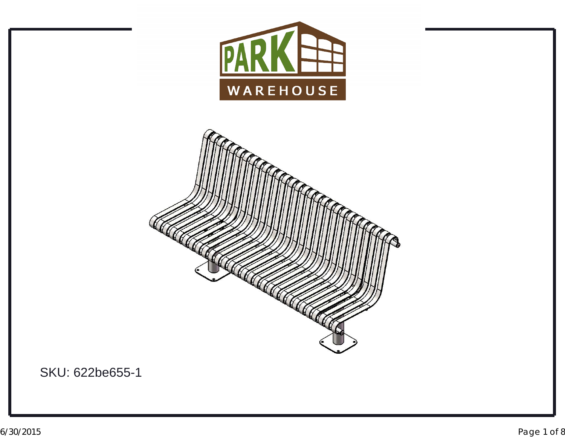



SKU: 622be655-1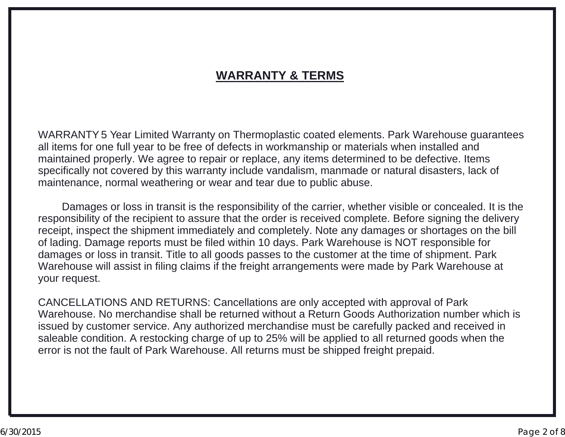#### **WARRANTY & TERMS**

WARRANTY <sup>5</sup> Year Limited Warranty on Thermoplastic coated elements. Park Warehouse guarantees all items for one full year to be free of defects in workmanship or materials when installed and maintained properly. We agree to repair or replace, any items determined to be defective. Items specifically not covered by this warranty include vandalism, manmade or natural disasters, lack of maintenance, normal weathering or wear and tear due to public abuse.

Damages or loss in transit is the responsibility of the carrier, whether visible or concealed. It is the responsibility of the recipient to assure that the order is received complete. Before signing the delivery receipt, inspect the shipment immediately and completely. Note any damages or shortages on the bill of lading. Damage reports must be filed within <sup>10</sup> days. Park Warehouse is NOT responsible for damages or loss in transit. Title to all goods passes to the customer at the time of shipment. Park Warehouse will assist in filing claims if the freight arrangements were made by Park Warehouse at your request.

CANCELLATIONS AND RETURNS: Cancellations are only accepted with approval of Park<br>Warehouse, Ne merehandies aboll be returned without a Peture Ceede Autherization numb Warehouse. No merchandise shall be returned without <sup>a</sup> Return Goods Authorization number which is issued by customer service. Any authorized merchandise must be carefully packed and received in saleable condition. A restocking charge of up to 25% will be applied to all returned goods when the<br>error is not the fault of Park Warebouse. All returns must be shinned freight prenaid. error is not the fault of Park Warehouse. All returns must be shipped freight prepaid.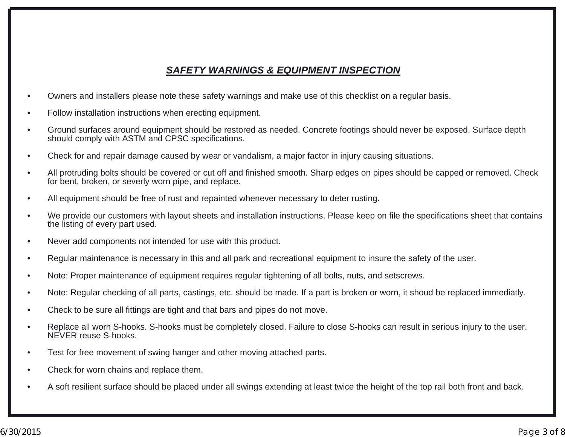#### *SAFETY WARNINGS & EQUIPMENT INSPECTION*

- •Owners and installers please note these safety warnings and make use of this checklist on <sup>a</sup> regular basis.
- •Follow installation instructions when erecting equipment.
- • Ground surfaces around equipment should be restored as needed. Concrete footings should never be exposed. Surface depth should comply with ASTM and CPSC specifications.
- •Check for and repair damage caused by wear or vandalism, <sup>a</sup> major factor in injury causing situations.
- • All protruding bolts should be covered or cut off and finished smooth. Sharp edges on pipes should be capped or removed. Check for bent, broken, or severly worn pipe, and replace.
- •All equipment should be free of rust and repainted whenever necessary to deter rusting.
- • We provide our customers with layout sheets and installation instructions. Please keep on file the specifications sheet that contains the listing of every part used.
- •Never add components not intended for use with this product.
- •Regular maintenance is necessary in this and all park and recreational equipment to insure the safety of the user.
- •Note: Proper maintenance of equipment requires regular tightening of all bolts, nuts, and setscrews.
- •Note: Regular checking of all parts, castings, etc. should be made. If <sup>a</sup> part is broken or worn, it shoud be replaced immediatly.
- •Check to be sure all fittings are tight and that bars and pipes do not move.
- • Replace all worn S-hooks. S-hooks must be completely closed. Failure to close S-hooks can result in serious injury to the user. NEVER reuse S-hooks.
- •Test for free movement of swing hanger and other moving attached parts.
- •Check for worn chains and replace them.
- •A soft resilient surface should be placed under all swings extending at least twice the height of the top rail both front and back.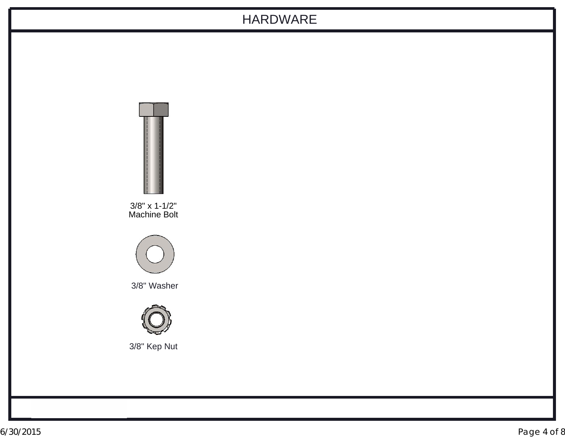### HARDWARE

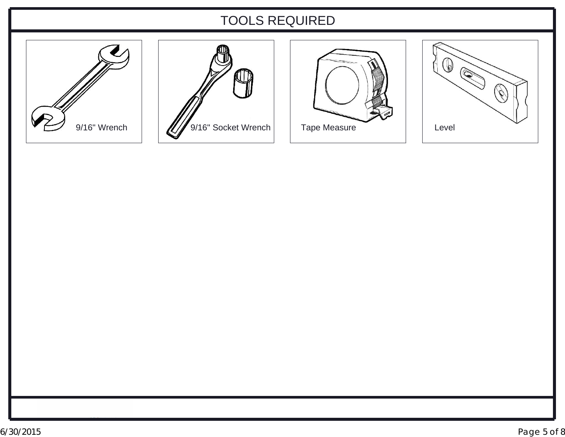# TOOLS REQUIRED







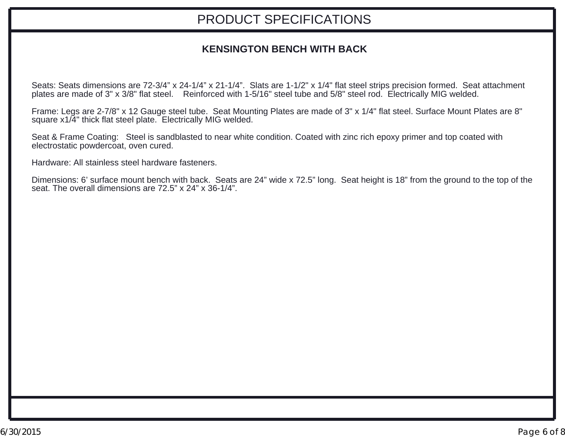# PRODUCT SPECIFICATIONS

#### **KENSINGTON BENCH WITH BACK**

Seats: Seats dimensions are 72-3/4" <sup>x</sup> 24-1/4" <sup>x</sup> 21-1/4". Slats are 1-1/2" <sup>x</sup> 1/4" flat steel strips precision formed. Seat attachment plates are made of 3" <sup>x</sup> 3/8" flat steel. Reinforced with 1-5/16" steel tube and 5/8" steel rod. Electrically MIG welded.

Frame: Legs are 2-7/8" <sup>x</sup> 12 Gauge steel tube. Seat Mounting Plates are made of 3" <sup>x</sup> 1/4" flat steel. Surface Mount Plates are 8" square x1/4" thick flat steel plate. Electrically MIG welded.

Seat & Frame Coating: Steel is sandblasted to near white condition. Coated with zinc rich epoxy primer and top coated with electrostatic powdercoat, oven cured.

Hardware: All stainless steel hardware fasteners.

Dimensions: 6' surface mount bench with back. Seats are 24" wide <sup>x</sup> 72.5" long. Seat height is 18" from the ground to the top of the seat. The overall dimensions are 72.5" <sup>x</sup> 24" <sup>x</sup> 36-1/4".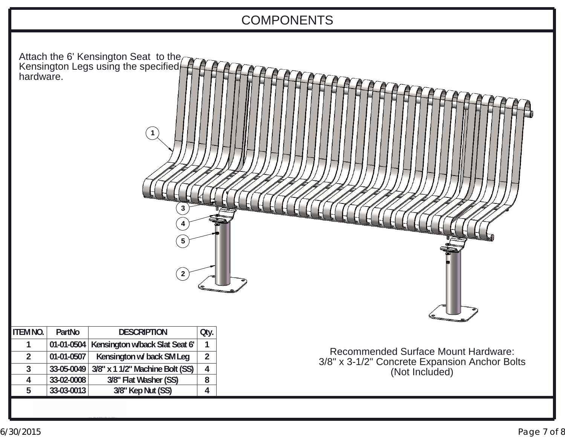# COMPONENTS

| hardware.       |            | Attach the 6' Kensington Seat to the<br>Kensington Legs using the specified<br>$\mathbf{1}$<br>3<br>5<br>$\overline{2}$ |                |                                                                 |
|-----------------|------------|-------------------------------------------------------------------------------------------------------------------------|----------------|-----------------------------------------------------------------|
| <b>ITEM NO.</b> | PartNo     | <b>DESCRIPTION</b>                                                                                                      | Qty.           |                                                                 |
| 1               | 01-01-0504 | Kensington w/back Slat Seat 6'                                                                                          | $\mathbf{1}$   |                                                                 |
| $\overline{2}$  | 01-01-0507 | Kensington w/ back SM Leg                                                                                               | $\overline{2}$ | <b>Recommended Surface Mount Hardware:</b>                      |
| $\overline{3}$  | 33-05-0049 | 3/8" x 1 1/2" Machine Bolt (SS)                                                                                         | $\overline{4}$ | 3/8" x 3-1/2" Concrete Expansion Anchor Bolts<br>(Not Included) |
| 4               | 33-02-0008 | 3/8" Flat Washer (SS)                                                                                                   | 8              |                                                                 |
| 5               | 33-03-0013 | 3/8" Kep Nut (SS)                                                                                                       | $\overline{4}$ |                                                                 |
|                 |            |                                                                                                                         |                |                                                                 |